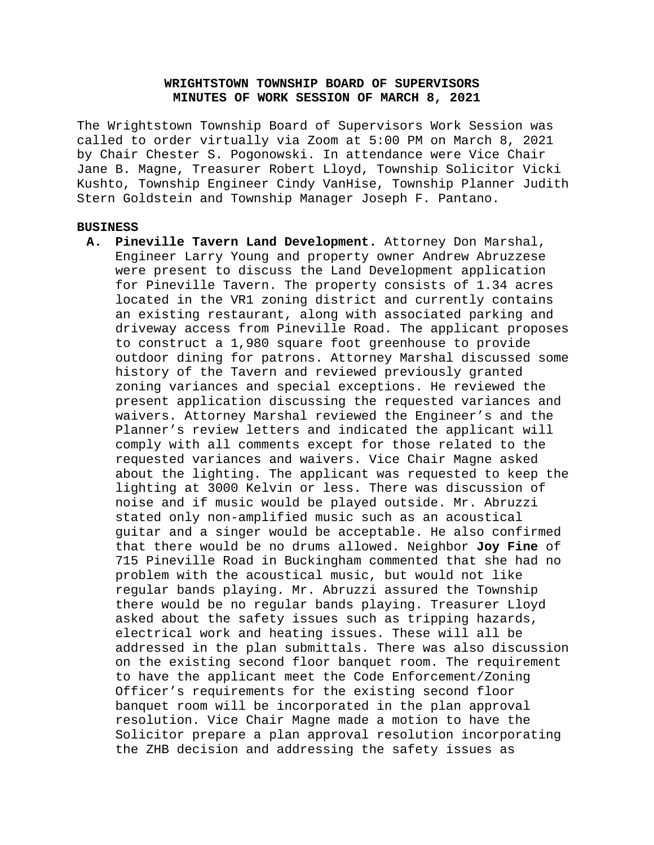# **WRIGHTSTOWN TOWNSHIP BOARD OF SUPERVISORS MINUTES OF WORK SESSION OF MARCH 8, 2021**

The Wrightstown Township Board of Supervisors Work Session was called to order virtually via Zoom at 5:00 PM on March 8, 2021 by Chair Chester S. Pogonowski. In attendance were Vice Chair Jane B. Magne, Treasurer Robert Lloyd, Township Solicitor Vicki Kushto, Township Engineer Cindy VanHise, Township Planner Judith Stern Goldstein and Township Manager Joseph F. Pantano.

## **BUSINESS**

**A. Pineville Tavern Land Development.** Attorney Don Marshal, Engineer Larry Young and property owner Andrew Abruzzese were present to discuss the Land Development application for Pineville Tavern. The property consists of 1.34 acres located in the VR1 zoning district and currently contains an existing restaurant, along with associated parking and driveway access from Pineville Road. The applicant proposes to construct a 1,980 square foot greenhouse to provide outdoor dining for patrons. Attorney Marshal discussed some history of the Tavern and reviewed previously granted zoning variances and special exceptions. He reviewed the present application discussing the requested variances and waivers. Attorney Marshal reviewed the Engineer's and the Planner's review letters and indicated the applicant will comply with all comments except for those related to the requested variances and waivers. Vice Chair Magne asked about the lighting. The applicant was requested to keep the lighting at 3000 Kelvin or less. There was discussion of noise and if music would be played outside. Mr. Abruzzi stated only non-amplified music such as an acoustical guitar and a singer would be acceptable. He also confirmed that there would be no drums allowed. Neighbor **Joy Fine** of 715 Pineville Road in Buckingham commented that she had no problem with the acoustical music, but would not like regular bands playing. Mr. Abruzzi assured the Township there would be no regular bands playing. Treasurer Lloyd asked about the safety issues such as tripping hazards, electrical work and heating issues. These will all be addressed in the plan submittals. There was also discussion on the existing second floor banquet room. The requirement to have the applicant meet the Code Enforcement/Zoning Officer's requirements for the existing second floor banquet room will be incorporated in the plan approval resolution. Vice Chair Magne made a motion to have the Solicitor prepare a plan approval resolution incorporating the ZHB decision and addressing the safety issues as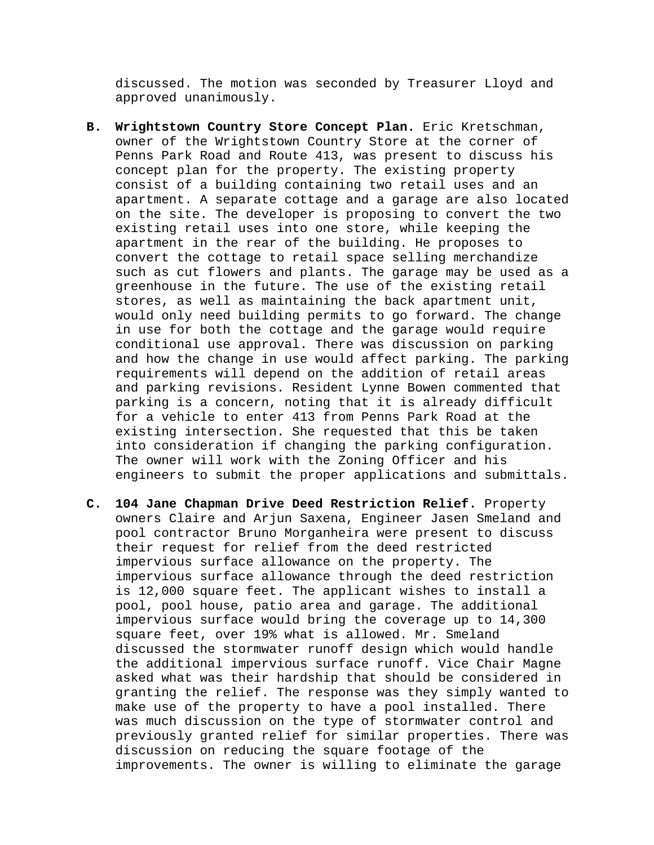discussed. The motion was seconded by Treasurer Lloyd and approved unanimously.

- **B. Wrightstown Country Store Concept Plan.** Eric Kretschman, owner of the Wrightstown Country Store at the corner of Penns Park Road and Route 413, was present to discuss his concept plan for the property. The existing property consist of a building containing two retail uses and an apartment. A separate cottage and a garage are also located on the site. The developer is proposing to convert the two existing retail uses into one store, while keeping the apartment in the rear of the building. He proposes to convert the cottage to retail space selling merchandize such as cut flowers and plants. The garage may be used as a greenhouse in the future. The use of the existing retail stores, as well as maintaining the back apartment unit, would only need building permits to go forward. The change in use for both the cottage and the garage would require conditional use approval. There was discussion on parking and how the change in use would affect parking. The parking requirements will depend on the addition of retail areas and parking revisions. Resident Lynne Bowen commented that parking is a concern, noting that it is already difficult for a vehicle to enter 413 from Penns Park Road at the existing intersection. She requested that this be taken into consideration if changing the parking configuration. The owner will work with the Zoning Officer and his engineers to submit the proper applications and submittals.
- **C. 104 Jane Chapman Drive Deed Restriction Relief.** Property owners Claire and Arjun Saxena, Engineer Jasen Smeland and pool contractor Bruno Morganheira were present to discuss their request for relief from the deed restricted impervious surface allowance on the property. The impervious surface allowance through the deed restriction is 12,000 square feet. The applicant wishes to install a pool, pool house, patio area and garage. The additional impervious surface would bring the coverage up to 14,300 square feet, over 19% what is allowed. Mr. Smeland discussed the stormwater runoff design which would handle the additional impervious surface runoff. Vice Chair Magne asked what was their hardship that should be considered in granting the relief. The response was they simply wanted to make use of the property to have a pool installed. There was much discussion on the type of stormwater control and previously granted relief for similar properties. There was discussion on reducing the square footage of the improvements. The owner is willing to eliminate the garage